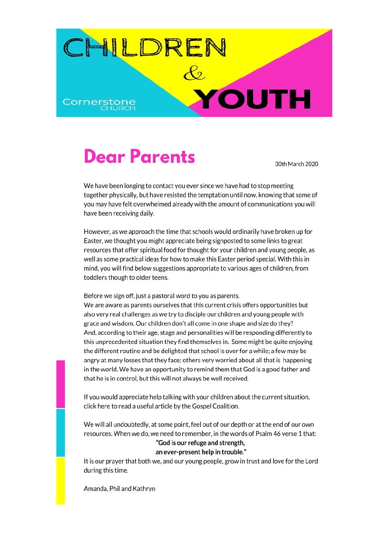

## **Dear Parents**

30th March 2020

We have been longing to contact you ever since we have had to stop meeting together physically, but have resisted the temptation until now, knowing that some of you may have felt overwhelmed already with the amount of communications you will have been receiving daily.

However, as we approach the time that schools would ordinarily have broken up for Easter, we thought you might appreciate being signposted to some links to great resources that offer spiritual food for thought for your children and young people, as well as some practical ideas for how to make this Easter period special. With this in mind, you will find below suggestions appropriate to various ages of children, from toddlers though to older teens.

Before we sign off, just a pastoral word to you as parents.

We are aware as parents ourselves that this current crisis offers opportunities but also very real challenges as we try to disciple our children and young people with grace and wisdom. Our children don't all come in one shape and size do they? And, according to their age, stage and personalities will be responding differently to this unprecedented situation they find themselves in. Some might be quite enjoying the different routine and be delighted that school is over for a while; a few may be angry at many losses that they face; others very worried about all that is happening in the world. We have an opportunity to remind them that God is a good father and that he is in control, but this will not always be well received.

If you would appreciate help talking with your children about the current situation, click here to read a useful article by the Gospel Coalition.

We will all undoubtedly, at some point, feel out of our depth or at the end of our own resources. When we do, we need to remember, in the words of Psalm 46 verse 1 that: "God is our refuge and strength,

#### an ever-present help in trouble."

It is our prayer that both we, and our young people, grow in trust and love for the Lord during this time.

Amanda, Phil and Kathryn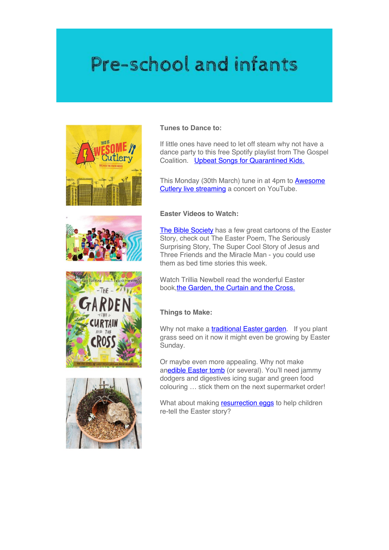## Pre-school and infants









#### **Tunes to Dance to:**

If little ones have need to let off steam why not have a dance party to this free Spotify playlist from The Gospel Coalition. Upbeat Songs for Quarantined Kids.

This Monday (30th March) tune in at 4pm to **Awesome** Cutlery live streaming a concert on YouTube.

#### **Easter Videos to Watch:**

The Bible Society has a few great cartoons of the Easter Story, check out The Easter Poem, The Seriously Surprising Story, The Super Cool Story of Jesus and Three Friends and the Miracle Man - you could use them as bed time stories this week.

Watch Trillia Newbell read the wonderful Easter book,the Garden, the Curtain and the Cross.

#### **Things to Make:**

Why not make a **traditional Easter garden**. If you plant grass seed on it now it might even be growing by Easter Sunday.

Or maybe even more appealing. Why not make anedible Easter tomb (or several). You'll need jammy dodgers and digestives icing sugar and green food colouring … stick them on the next supermarket order!

What about making **resurrection eggs** to help children re-tell the Easter story?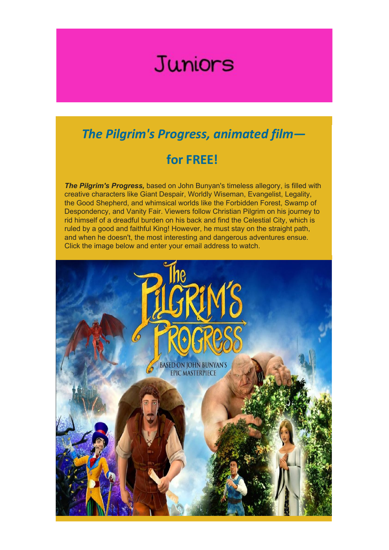## Juniors

### *The Pilgrim's Progress, animated film—*

### **for FREE!**

*The Pilgrim's Progress,* based on John Bunyan's timeless allegory, is filled with creative characters like Giant Despair, Worldly Wiseman, Evangelist, Legality, the Good Shepherd, and whimsical worlds like the Forbidden Forest, Swamp of Despondency, and Vanity Fair. Viewers follow Christian Pilgrim on his journey to rid himself of a dreadful burden on his back and find the Celestial City, which is ruled by a good and faithful King! However, he must stay on the straight path, and when he doesn't, the most interesting and dangerous adventures ensue. Click the image below and enter your email address to watch.

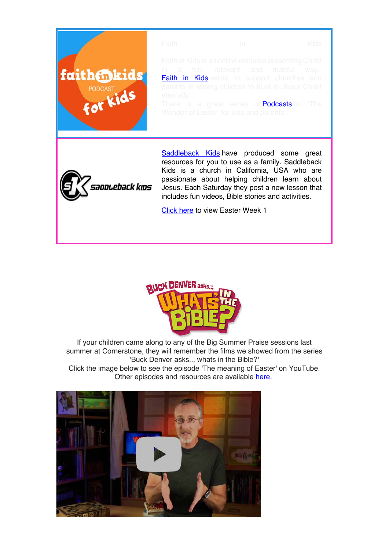



If your children came along to any of the Big Summer Praise sessions last summer at Cornerstone, they will remember the films we showed from the series 'Buck Denver asks... whats in the Bible?'

Click the image below to see the episode 'The meaning of Easter' on YouTube. Other episodes and resources are available here.

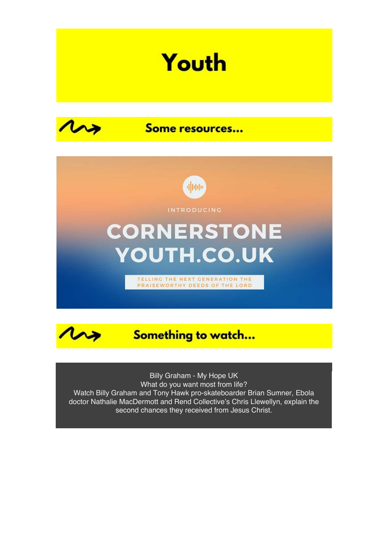# Youth



Some resources...





Billy Graham - My Hope UK What do you want most from life? Watch Billy Graham and Tony Hawk pro-skateboarder Brian Sumner, Ebola doctor Nathalie MacDermott and Rend Collective's Chris Llewellyn, explain the second chances they received from Jesus Christ.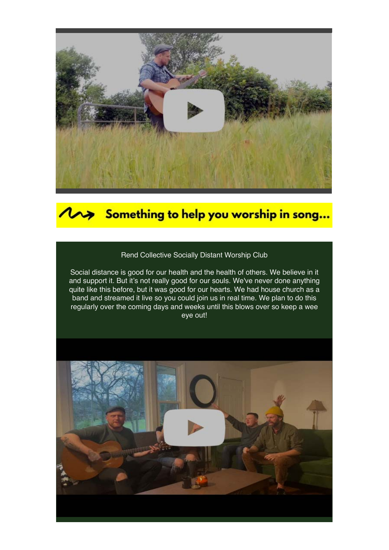

### Something to help you worship in song...

### Rend Collective Socially Distant Worship Club

Social distance is good for our health and the health of others. We believe in it and support it. But it's not really good for our souls. We've never done anything quite like this before, but it was good for our hearts. We had house church as a band and streamed it live so you could join us in real time. We plan to do this regularly over the coming days and weeks until this blows over so keep a wee eye out!